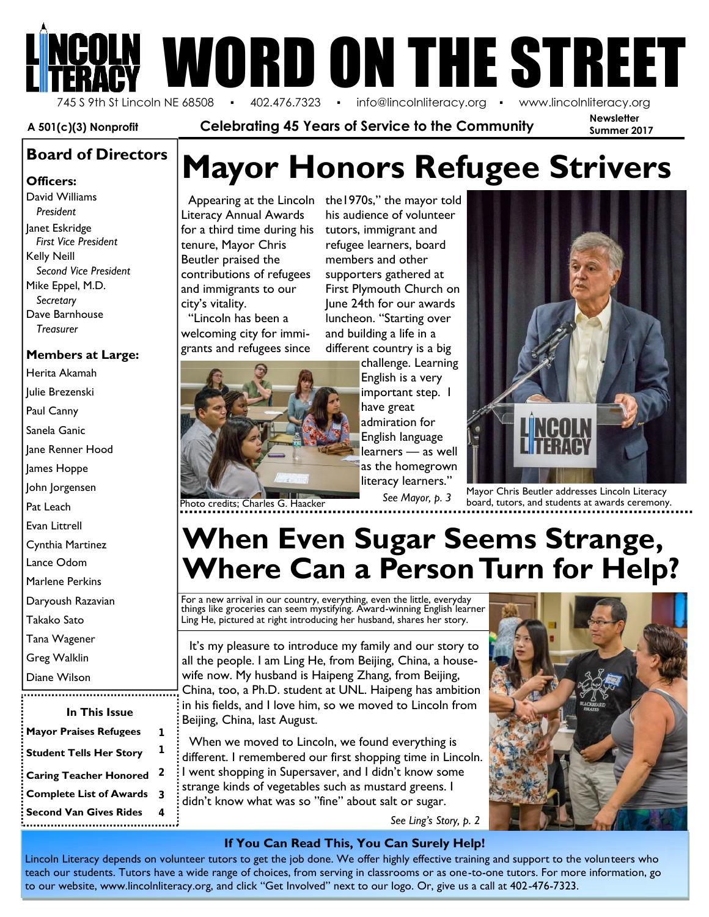# **OUN WORD ON THE STREET**

**Newsletter Summer 2017** 745 S 9th St Lincoln NE 68508 · 402.476.7323 · info@lincolnliteracy.org · www.lincolnliteracy.org

**A 501(c)(3) Nonprofit Celebrating 45 Years of Service to the Community**

**Officers:** David Williams *President* Janet Eskridge *First Vice President* Kelly Neill *Second Vice President* Mike Eppel, M.D. *Secretary* Dave Barnhouse *Treasurer*

#### **Members at Large:**

Herita Akamah Julie Brezenski

Paul Canny

Sanela Ganic

Jane Renner Hood

James Hoppe

John Jorgensen

Pat Leach

Evan Littrell

Cynthia Martinez

Lance Odom

Marlene Perkins

Daryoush Razavian

Takako Sato

Tana Wagener

Greg Walklin

|  | Diane Wilson |  |
|--|--------------|--|
|--|--------------|--|

| In This Issue                  |   | $\cdot$ in his<br>: Beijir |
|--------------------------------|---|----------------------------|
| <b>Mayor Praises Refugees</b>  | 1 | Wł                         |
| <b>Student Tells Her Story</b> | 1 | differ                     |
| <b>Caring Teacher Honored</b>  | 2 | : I wei                    |
| <b>Complete List of Awards</b> | 3 | stran<br>didn'             |
| <b>Second Van Gives Rides</b>  |   |                            |

;<br>http://www.com/android.com/android.com/android

## **Mayor Honors Refugee Strivers Board of Directors**

Literacy Annual Awards for a third time during his tenure, Mayor Chris Beutler praised the contributions of refugees and immigrants to our city's vitality.

"Lincoln has been a welcoming city for immi grants and refugees since



his audience of volunteer tutors, immigrant and refugee learners, board members and other supporters gathered at First Plymouth Church on June 24th for our awards luncheon. "Starting over and building a life in a different country is a big

challenge. Learning English is a very important step. I have great admiration for English language learners — as well as the homegrown literacy learners."

*See Mayor, p. 3*



Mayor Chris Beutler addresses Lincoln Literacy board, tutors, and students at awards ceremony.

## **When Even Sugar Seems Strange, Where Can a Person Turn for Help?**

For a new arrival in our country, everything, even the little, everyday things like groceries can seem mystifying. Award-winning English learner Ling He, pictured at right introducing her husband, shares her story.

It's my pleasure to introduce my family and our story to all the people. I am Ling He, from Beijing, China, a housewife now. My husband is Haipeng Zhang, from Beijing, China, too, a Ph.D. student at UNL. Haipeng has ambition in his fields, and I love him, so we moved to Lincoln from Beijing, China, last August.

When we moved to Lincoln, we found everything is different. I remembered our first shopping time in Lincoln. I went shopping in Supersaver, and I didn't know some strange kinds of vegetables such as mustard greens. I didn't know what was so "fine" about salt or sugar. *See Ling's Story, p. 2*

#### **If You Can Read This, You Can Surely Help!**

Lincoln Literacy depends on volunteer tutors to get the job done. We offer highly effective training and support to the volunteers who teach our students. Tutors have a wide range of choices, from serving in classrooms or as one-to-one tutors. For more information, go to our website, www.lincolnliteracy.org, and click "Get Involved" next to our logo. Or, give us a call at 402-476-7323.

## Appearing at the Lincoln  $\,$  the1970s," the mayor told  $\,$  and  $\,$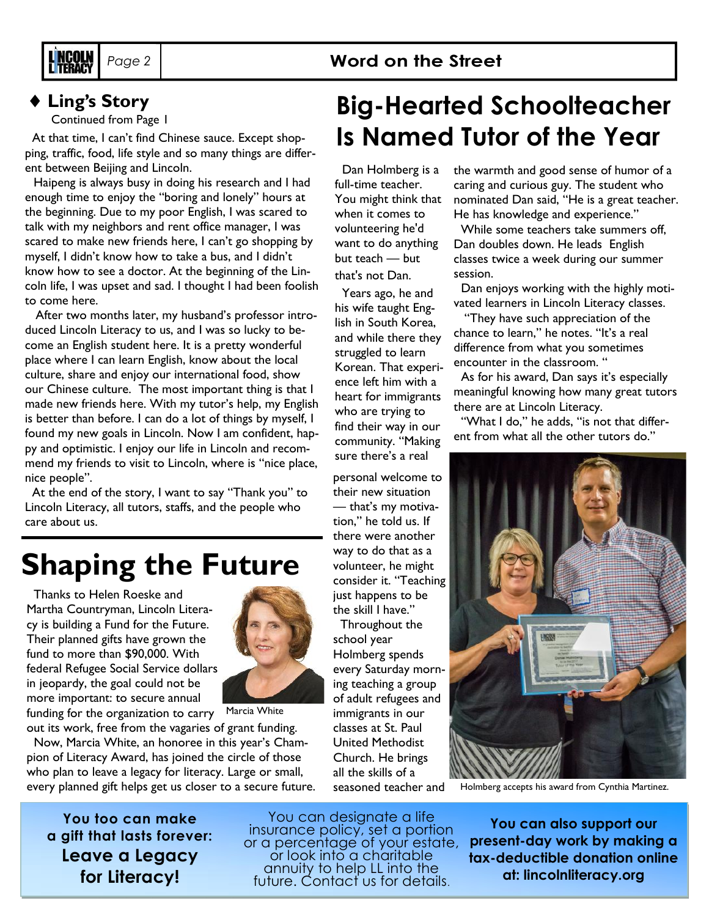

#### **Ling's Story**

Continued from Page 1

At that time, I can't find Chinese sauce. Except shopping, traffic, food, life style and so many things are different between Beijing and Lincoln.

Haipeng is always busy in doing his research and I had enough time to enjoy the "boring and lonely" hours at the beginning. Due to my poor English, I was scared to talk with my neighbors and rent office manager, I was scared to make new friends here, I can't go shopping by myself, I didn't know how to take a bus, and I didn't know how to see a doctor. At the beginning of the Lincoln life, I was upset and sad. I thought I had been foolish to come here.

After two months later, my husband's professor introduced Lincoln Literacy to us, and I was so lucky to become an English student here. It is a pretty wonderful place where I can learn English, know about the local culture, share and enjoy our international food, show our Chinese culture. The most important thing is that I made new friends here. With my tutor's help, my English is better than before. I can do a lot of things by myself, I found my new goals in Lincoln. Now I am confident, happy and optimistic. I enjoy our life in Lincoln and recommend my friends to visit to Lincoln, where is "nice place, nice people".

At the end of the story, I want to say "Thank you" to Lincoln Literacy, all tutors, staffs, and the people who care about us.

## **Shaping the Future**

Thanks to Helen Roeske and Martha Countryman, Lincoln Literacy is building a Fund for the Future. Their planned gifts have grown the fund to more than \$90,000. With federal Refugee Social Service dollars in jeopardy, the goal could not be more important: to secure annual



funding for the organization to carry Marcia White

out its work, free from the vagaries of grant funding. Now, Marcia White, an honoree in this year's Champion of Literacy Award, has joined the circle of those who plan to leave a legacy for literacy. Large or small, every planned gift helps get us closer to a secure future.

**You too can make a gift that lasts forever: Leave a Legacy for Literacy!**

You can designate a life insurance policy, set a portion or a percentage of your estate, or look into a charitable annuity to help LL into the future. Contact us for details.

## **Big-Hearted Schoolteacher Is Named Tutor of the Year**

Dan Holmberg is a full-time teacher. You might think that when it comes to volunteering he'd want to do anything but teach — but that's not Dan.

Years ago, he and his wife taught English in South Korea, and while there they struggled to learn Korean. That experience left him with a heart for immigrants who are trying to find their way in our community. "Making sure there's a real

personal welcome to their new situation — that's my motivation," he told us. If there were another way to do that as a volunteer, he might consider it. "Teaching just happens to be

Throughout the school year every Saturday mornseasoned teacher and the warmth and good sense of humor of a caring and curious guy. The student who nominated Dan said, "He is a great teacher. He has knowledge and experience."

While some teachers take summers off, Dan doubles down. He leads English classes twice a week during our summer session.

Dan enjoys working with the highly motivated learners in Lincoln Literacy classes.

"They have such appreciation of the chance to learn," he notes. "It's a real difference from what you sometimes encounter in the classroom. "

As for his award, Dan says it's especially meaningful knowing how many great tutors there are at Lincoln Literacy.

"What I do," he adds, "is not that different from what all the other tutors do."



Holmberg accepts his award from Cynthia Martinez.

**You can also support our present-day work by making a tax-deductible donation online at: lincolnliteracy.org**

the skill I have."

Holmberg spends ing teaching a group of adult refugees and immigrants in our classes at St. Paul United Methodist Church. He brings all the skills of a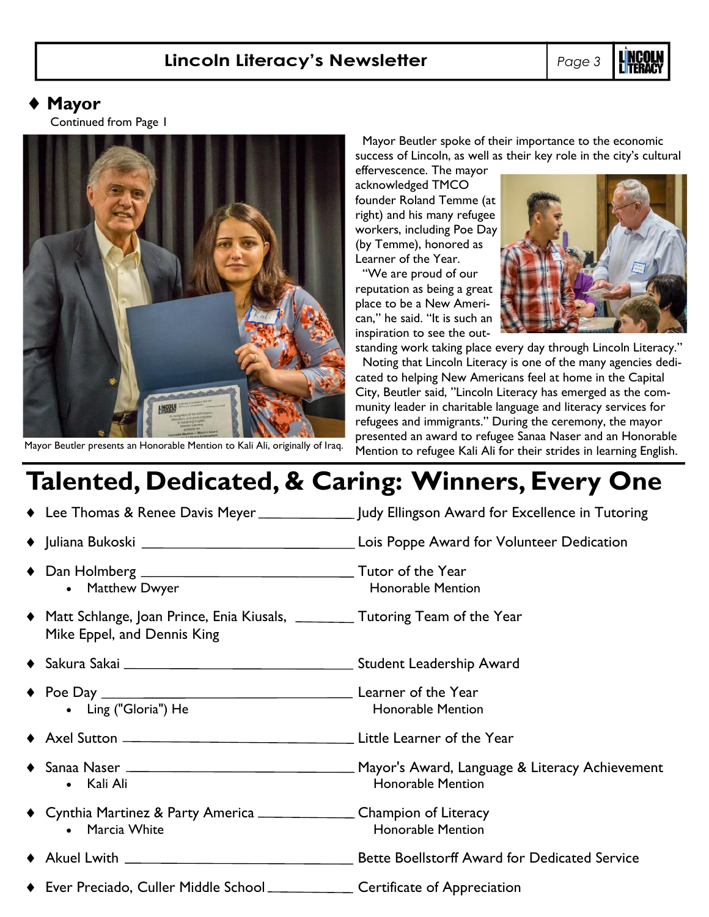#### **Lincoln Literacy's Newsletter** *Page 3*

#### **Mayor**

Continued from Page 1



Mayor Beutler spoke of their importance to the economic success of Lincoln, as well as their key role in the city's cultural

effervescence. The mayor acknowledged TMCO founder Roland Temme (at right) and his many refugee workers, including Poe Day (by Temme), honored as Learner of the Year.

"We are proud of our reputation as being a great place to be a New American," he said. "It is such an inspiration to see the out-



standing work taking place every day through Lincoln Literacy." Noting that Lincoln Literacy is one of the many agencies dedicated to helping New Americans feel at home in the Capital City, Beutler said, "Lincoln Literacy has emerged as the community leader in charitable language and literacy services for refugees and immigrants." During the ceremony, the mayor presented an award to refugee Sanaa Naser and an Honorable Mayor Beutler presents an Honorable Mention to Kali Ali, originally of Iraq. Mention to refugee Kali Ali for their strides in learning English.

## **Talented, Dedicated, & Caring: Winners, Every One**

| • Matthew Dwyer                                                                                                  | <b>Honorable Mention</b> |
|------------------------------------------------------------------------------------------------------------------|--------------------------|
| • Matt Schlange, Joan Prince, Enia Kiusals, ___________ Tutoring Team of the Year<br>Mike Eppel, and Dennis King |                          |
|                                                                                                                  |                          |
| • Ling ("Gloria") He                                                                                             | <b>Honorable Mention</b> |
|                                                                                                                  |                          |
| • Kali Ali                                                                                                       | <b>Honorable Mention</b> |
| • Cynthia Martinez & Party America _____________________Champion of Literacy<br>• Marcia White                   | <b>Honorable Mention</b> |
|                                                                                                                  |                          |
| • Ever Preciado, Culler Middle School _________________ Certificate of Appreciation                              |                          |